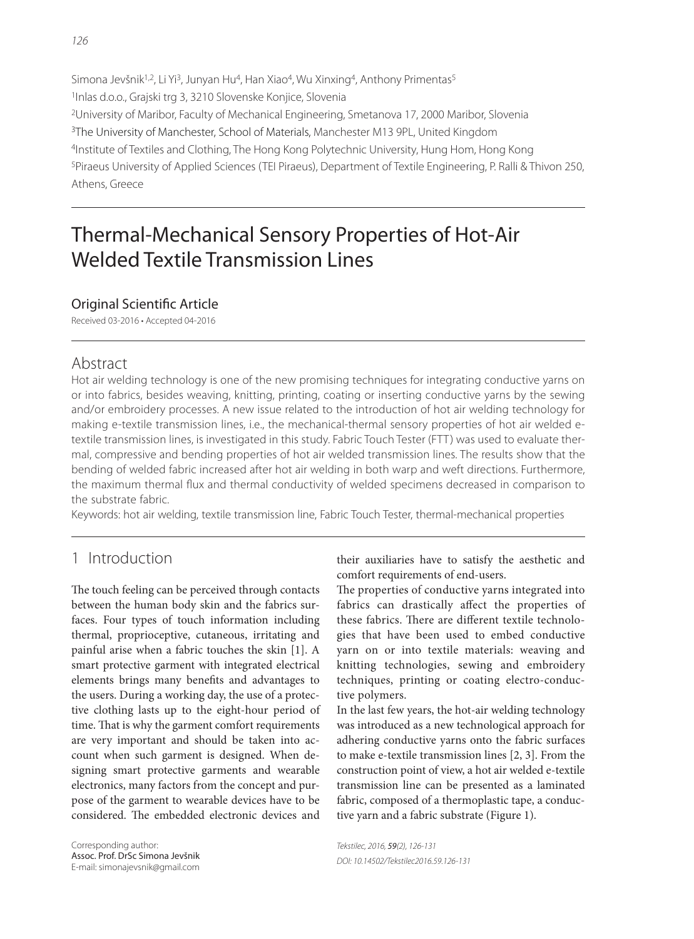Simona Jevšnik<sup>1,2</sup>, Li Yi<sup>3</sup>, Junyan Hu<sup>4</sup>, Han Xiao<sup>4</sup>, Wu Xinxing<sup>4</sup>, Anthony Primentas<sup>5</sup> 1Inlas d.o.o., Grajski trg 3, 3210 Slovenske Konjice, Slovenia 2University of Maribor, Faculty of Mechanical Engineering, Smetanova 17, 2000 Maribor, Slovenia <sup>3</sup>The University of Manchester, School of Materials, Manchester M13 9PL, United Kingdom 4Institute of Textiles and Clothing, The Hong Kong Polytechnic University, Hung Hom, Hong Kong 5Piraeus University of Applied Sciences (TEI Piraeus), Department of Textile Engineering, P. Ralli & Thivon 250, Athens, Greece

# Thermal-Mechanical Sensory Properties of Hot-Air Welded Textile Transmission Lines

#### Original Scientific Article

Received 03-2016 • Accepted 04-2016

### Abstract

Hot air welding technology is one of the new promising techniques for integrating conductive yarns on or into fabrics, besides weaving, knitting, printing, coating or inserting conductive yarns by the sewing and/or embroidery processes. A new issue related to the introduction of hot air welding technology for making e-textile transmission lines, i.e., the mechanical-thermal sensory properties of hot air welded etextile transmission lines, is investigated in this study. Fabric Touch Tester (FTT) was used to evaluate thermal, compressive and bending properties of hot air welded transmission lines. The results show that the bending of welded fabric increased after hot air welding in both warp and weft directions. Furthermore, the maximum thermal flux and thermal conductivity of welded specimens decreased in comparison to the substrate fabric.

Keywords: hot air welding, textile transmission line, Fabric Touch Tester, thermal-mechanical properties

# 1 Introduction

The touch feeling can be perceived through contacts between the human body skin and the fabrics surfaces. Four types of touch information including thermal, proprioceptive, cutaneous, irritating and painful arise when a fabric touches the skin [1]. A smart protective garment with integrated electrical elements brings many benefits and advantages to the users. During a working day, the use of a protective clothing lasts up to the eight-hour period of time. That is why the garment comfort requirements are very important and should be taken into account when such garment is designed. When designing smart protective garments and wearable electronics, many factors from the concept and purpose of the garment to wearable devices have to be considered. The embedded electronic devices and their auxiliaries have to satisfy the aesthetic and comfort requirements of end-users.

The properties of conductive yarns integrated into fabrics can drastically affect the properties of these fabrics. There are different textile technologies that have been used to embed conductive yarn on or into textile materials: weaving and knitting technologies, sewing and embroidery techniques, printing or coating electro-conductive polymers.

In the last few years, the hot-air welding technology was introduced as a new technological approach for adhering conductive yarns onto the fabric surfaces to make e-textile transmission lines [2, 3]. From the construction point of view, a hot air welded e-textile transmission line can be presented as a laminated fabric, composed of a thermoplastic tape, a conductive yarn and a fabric substrate (Figure 1).

Tekstilec, 2016, 59(2), 126-131 DOI: 10.14502/Tekstilec2016.59.126-131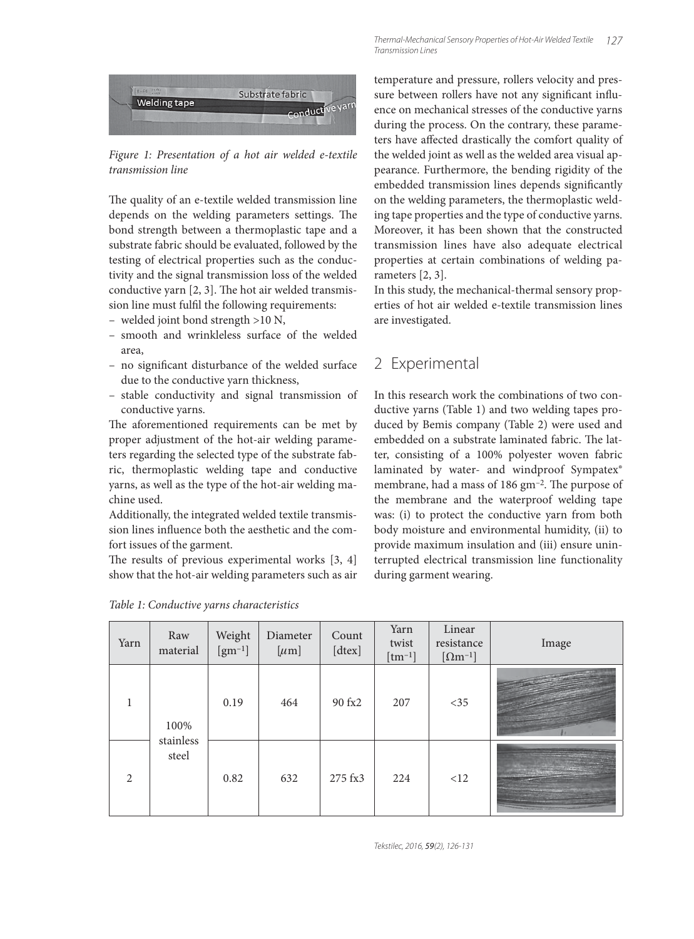

Figure 1: Presentation of a hot air welded e-textile transmission line

The quality of an e-textile welded transmission line depends on the welding parameters settings. The bond strength between a thermoplastic tape and a substrate fabric should be evaluated, followed by the testing of electrical properties such as the conductivity and the signal transmission loss of the welded conductive yarn  $[2, 3]$ . The hot air welded transmission line must fulfil the following requirements:

- welded joint bond strength >10 N,
- smooth and wrinkleless surface of the welded area,
- no significant disturbance of the welded surface due to the conductive yarn thickness,
- stable conductivity and signal transmission of conductive yarns.

The aforementioned requirements can be met by proper adjustment of the hot-air welding parameters regarding the selected type of the substrate fabric, thermoplastic welding tape and conductive yarns, as well as the type of the hot-air welding machine used.

Additionally, the integrated welded textile transmission lines influence both the aesthetic and the comfort issues of the garment.

The results of previous experimental works  $[3, 4]$ show that the hot-air welding parameters such as air

temperature and pressure, rollers velocity and pressure between rollers have not any significant influence on mechanical stresses of the conductive yarns during the process. On the contrary, these parameters have affected drastically the comfort quality of the welded joint as well as the welded area visual appearance. Furthermore, the bending rigidity of the embedded transmission lines depends significantly on the welding parameters, the thermoplastic welding tape properties and the type of conductive yarns. Moreover, it has been shown that the constructed transmission lines have also adequate electrical properties at certain combinations of welding parameters [2, 3].

In this study, the mechanical-thermal sensory properties of hot air welded e-textile transmission lines are investigated.

# 2 Experimental

In this research work the combinations of two conductive yarns (Table 1) and two welding tapes produced by Bemis company (Table 2) were used and embedded on a substrate laminated fabric. The latter, consisting of a 100% polyester woven fabric laminated by water- and windproof Sympatex® membrane, had a mass of  $186 \text{ gm}^{-2}$ . The purpose of the membrane and the waterproof welding tape was: (i) to protect the conductive yarn from both body moisture and environmental humidity, (ii) to provide maximum insulation and (iii) ensure uninterrupted electrical transmission line functionality during garment wearing.

| Yarn           | Raw<br>material            | Weight<br>$\left[\text{gm}^{-1}\right]$ | Diameter<br>$[\mu m]$ | Count<br>[dtex] | Yarn<br>twist<br>$[tm^{-1}]$ | Linear<br>resistance<br>$[\Omega m^{-1}]$ | Image |
|----------------|----------------------------|-----------------------------------------|-----------------------|-----------------|------------------------------|-------------------------------------------|-------|
|                | 100%<br>stainless<br>steel | 0.19                                    | 464                   | 90 fx2          | 207                          | $<$ 35                                    |       |
| $\mathfrak{D}$ |                            | 0.82                                    | 632                   | 275 fx3         | 224                          | <12                                       |       |

Table 1: Conductive yarns characteristics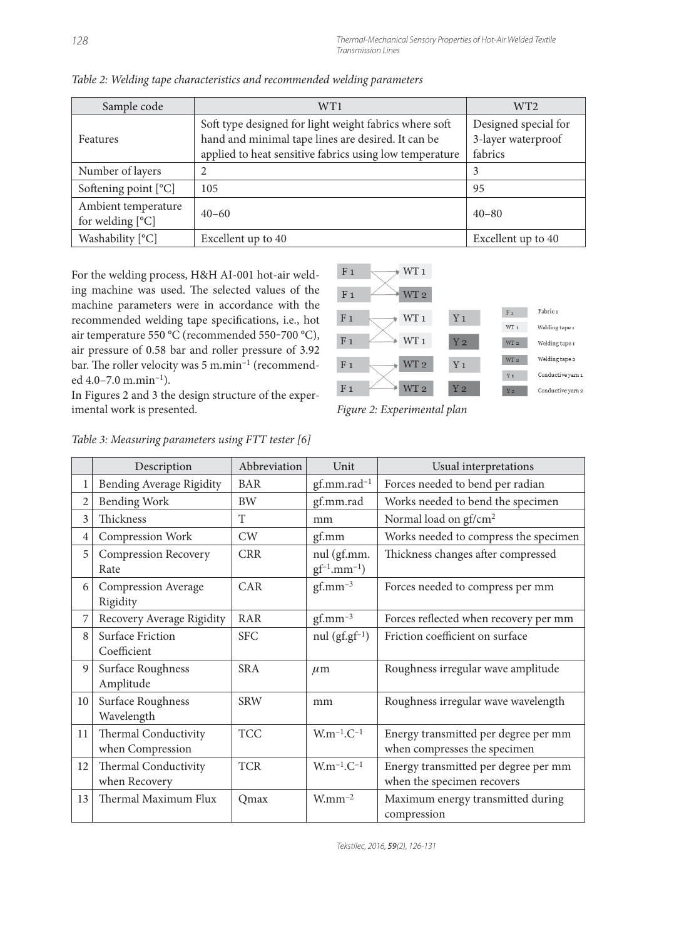| Sample code          | WT1                                                     | WT <sub>2</sub>      |  |
|----------------------|---------------------------------------------------------|----------------------|--|
|                      | Soft type designed for light weight fabrics where soft  | Designed special for |  |
| Features             | hand and minimal tape lines are desired. It can be      | 3-layer waterproof   |  |
|                      | applied to heat sensitive fabrics using low temperature | fabrics              |  |
| Number of layers     | 2                                                       | 3                    |  |
| Softening point [°C] | 105                                                     | 95                   |  |
| Ambient temperature  |                                                         |                      |  |
| for welding $[°C]$   | $40 - 60$                                               | $40 - 80$            |  |
| Washability [°C]     | Excellent up to 40                                      | Excellent up to 40   |  |

Table 2: Welding tape characteristics and recommended welding parameters

For the welding process, H&H AI-001 hot-air welding machine was used. The selected values of the machine parameters were in accordance with the recommended welding tape specifications, i.e., hot air temperature 550 °C (recommended 550-700 °C), air pressure of 0.58 bar and roller pressure of 3.92 bar. The roller velocity was 5 m.min<sup>-1</sup> (recommended 4.0–7.0 m.min–1).



imental work is presented. Figure 2: Experimental plan

|    | Description                              | Abbreviation | Unit                              | Usual interpretations                                                |  |
|----|------------------------------------------|--------------|-----------------------------------|----------------------------------------------------------------------|--|
| 1  | Bending Average Rigidity                 | <b>BAR</b>   | gf.mm.rad <sup>-1</sup>           | Forces needed to bend per radian                                     |  |
| 2  | <b>Bending Work</b>                      | <b>BW</b>    | gf.mm.rad                         | Works needed to bend the specimen                                    |  |
| 3  | Thickness                                | T            | mm                                | Normal load on gf/cm <sup>2</sup>                                    |  |
| 4  | Compression Work                         | CW           | gf.mm                             | Works needed to compress the specimen                                |  |
| 5  | <b>Compression Recovery</b><br>Rate      | <b>CRR</b>   | nul (gf.mm.<br>$gf^{-1}.mm^{-1})$ | Thickness changes after compressed                                   |  |
| 6  | Compression Average<br>Rigidity          | <b>CAR</b>   | $gf.$ mm <sup>-3</sup>            | Forces needed to compress per mm                                     |  |
| 7  | Recovery Average Rigidity                | RAR          | $gf.$ mm <sup>-3</sup>            | Forces reflected when recovery per mm                                |  |
| 8  | Surface Friction<br>Coefficient          | <b>SFC</b>   | nul $(gf.gf^{-1})$                | Friction coefficient on surface                                      |  |
| 9  | Surface Roughness<br>Amplitude           | <b>SRA</b>   | $\mu$ m                           | Roughness irregular wave amplitude                                   |  |
| 10 | Surface Roughness<br>Wavelength          | <b>SRW</b>   | mm                                | Roughness irregular wave wavelength                                  |  |
| 11 | Thermal Conductivity<br>when Compression | <b>TCC</b>   | $W.m^{-1}.C^{-1}$                 | Energy transmitted per degree per mm<br>when compresses the specimen |  |
| 12 | Thermal Conductivity<br>when Recovery    | <b>TCR</b>   | $W.m^{-1}.C^{-1}$                 | Energy transmitted per degree per mm<br>when the specimen recovers   |  |
| 13 | Thermal Maximum Flux                     | Omax         | $W$ mm <sup>-2</sup>              | Maximum energy transmitted during<br>compression                     |  |

#### Table 3: Measuring parameters using FTT tester [6]

In Figures 2 and 3 the design structure of the exper-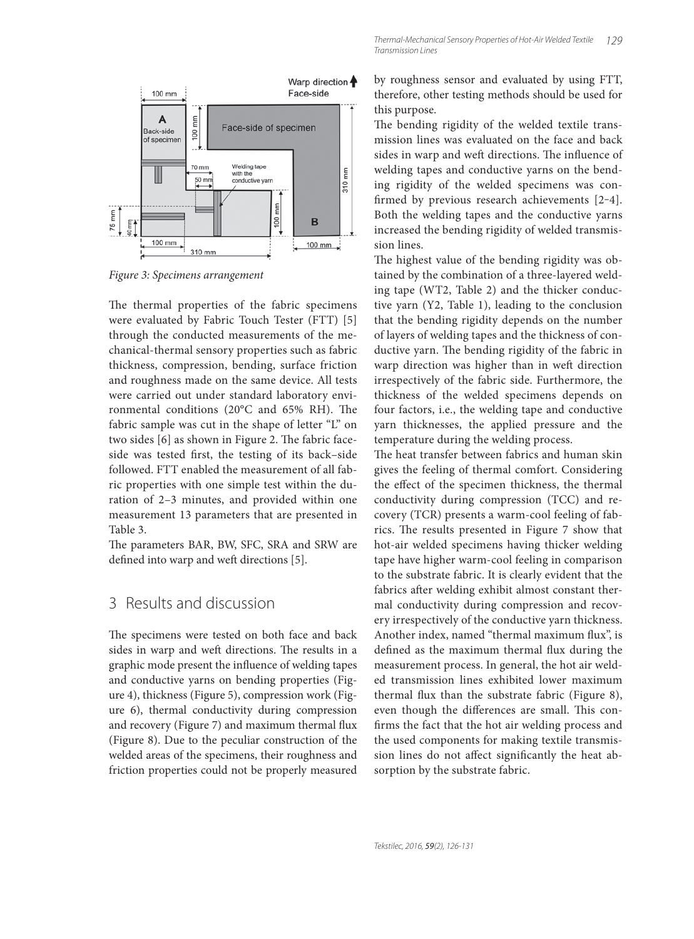

Figure 3: Specimens arrangement

The thermal properties of the fabric specimens were evaluated by Fabric Touch Tester (FTT) [5] through the conducted measurements of the mechanical-thermal sensory properties such as fabric thickness, compression, bending, surface friction and roughness made on the same device. All tests were carried out under standard laboratory environmental conditions (20 $^{\circ}$ C and 65% RH). The fabric sample was cut in the shape of letter "L" on two sides [6] as shown in Figure 2. The fabric faceside was tested first, the testing of its back-side followed. FTT enabled the measurement of all fabric properties with one simple test within the duration of 2–3 minutes, and provided within one measurement 13 parameters that are presented in Table 3.

The parameters BAR, BW, SFC, SRA and SRW are defined into warp and weft directions [5].

## 3 Results and discussion

The specimens were tested on both face and back sides in warp and weft directions. The results in a graphic mode present the influence of welding tapes and conductive yarns on bending properties (Figure 4), thickness (Figure 5), compression work (Figure 6), thermal conductivity during compression and recovery (Figure 7) and maximum thermal flux (Figure 8). Due to the peculiar construction of the welded areas of the specimens, their roughness and friction properties could not be properly measured

by roughness sensor and evaluated by using FTT, therefore, other testing methods should be used for this purpose.

The bending rigidity of the welded textile transmission lines was evaluated on the face and back sides in warp and weft directions. The influence of welding tapes and conductive yarns on the bending rigidity of the welded specimens was confirmed by previous research achievements  $[2-4]$ . Both the welding tapes and the conductive yarns increased the bending rigidity of welded transmission lines.

The highest value of the bending rigidity was obtained by the combination of a three-layered welding tape (WT2, Table 2) and the thicker conductive yarn (Y2, Table 1), leading to the conclusion that the bending rigidity depends on the number of layers of welding tapes and the thickness of conductive yarn. The bending rigidity of the fabric in warp direction was higher than in weft direction irrespectively of the fabric side. Furthermore, the thickness of the welded specimens depends on four factors, i.e., the welding tape and conductive yarn thicknesses, the applied pressure and the temperature during the welding process.

The heat transfer between fabrics and human skin gives the feeling of thermal comfort. Considering the effect of the specimen thickness, the thermal conductivity during compression (TCC) and recovery (TCR) presents a warm-cool feeling of fabrics. The results presented in Figure 7 show that hot-air welded specimens having thicker welding tape have higher warm-cool feeling in comparison to the substrate fabric. It is clearly evident that the fabrics after welding exhibit almost constant thermal conductivity during compression and recovery irrespectively of the conductive yarn thickness. Another index, named "thermal maximum flux", is defined as the maximum thermal flux during the measurement process. In general, the hot air welded transmission lines exhibited lower maximum thermal flux than the substrate fabric (Figure 8), even though the differences are small. This confirms the fact that the hot air welding process and the used components for making textile transmission lines do not affect significantly the heat absorption by the substrate fabric.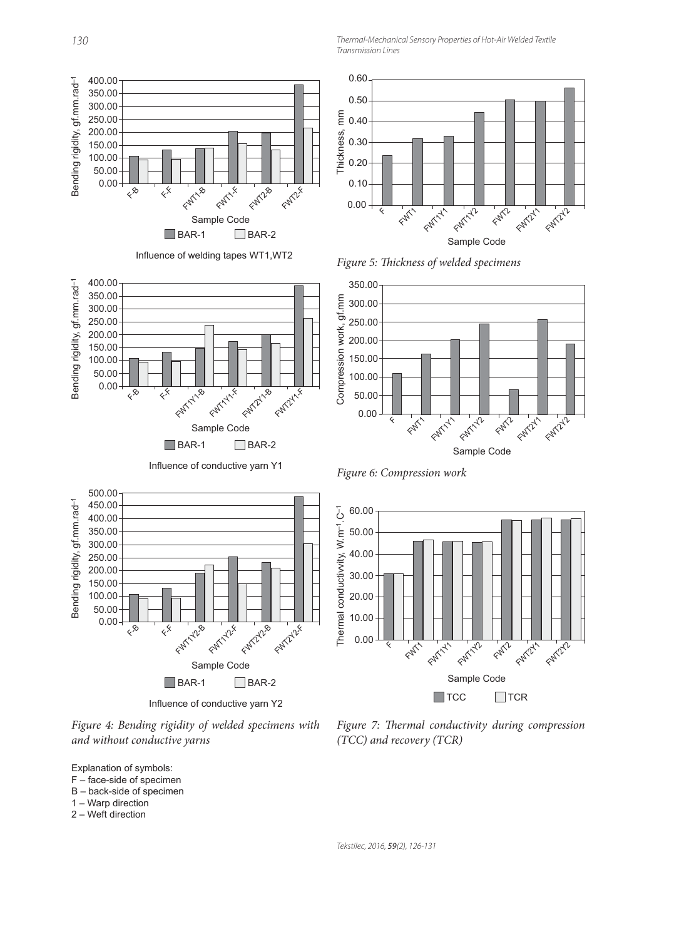Thermal-Mechanical Sensory Properties of Hot-Air Welded Textile Transmission Lines





Influence of conductive yarn Y1





Influence of conductive yarn Y2

50.00

Figure 6: Compression work

60.00



Figure 4: Bending rigidity of welded specimens with and without conductive yarns



- F face-side of specimen
- B back-side of specimen
- 1 Warp direction
- 2 Weft direction

Figure 7: Thermal conductivity during compression (TCC) and recovery (TCR)

Tekstilec, 2016, 59(2), 126-131

Bending rigidity, gf.mm.rad–1

Bending rigidity, gf.mm.rad<sup>-1</sup>

400.00 350.00 300.00 250.00 200.00 150.00 100.00 50.00 0.00

 $\mathcal{L}^{\otimes}$